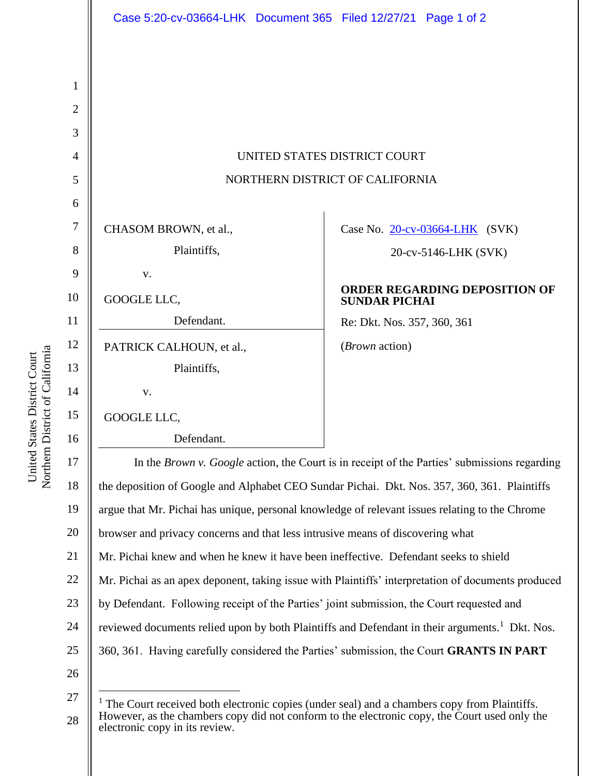|                | Case 5:20-cv-03664-LHK Document 365 Filed 12/27/21 Page 1 of 2                                             |                                                              |
|----------------|------------------------------------------------------------------------------------------------------------|--------------------------------------------------------------|
|                |                                                                                                            |                                                              |
| 1              |                                                                                                            |                                                              |
| $\overline{2}$ |                                                                                                            |                                                              |
| 3              |                                                                                                            |                                                              |
| 4              | UNITED STATES DISTRICT COURT                                                                               |                                                              |
| 5              | NORTHERN DISTRICT OF CALIFORNIA                                                                            |                                                              |
| 6              |                                                                                                            |                                                              |
| 7              | CHASOM BROWN, et al.,                                                                                      | Case No. 20-cv-03664-LHK (SVK)                               |
| 8              | Plaintiffs,                                                                                                | 20-cv-5146-LHK (SVK)                                         |
| 9              | V.                                                                                                         |                                                              |
| 10             | GOOGLE LLC,                                                                                                | <b>ORDER REGARDING DEPOSITION OF</b><br><b>SUNDAR PICHAI</b> |
| 11             | Defendant.                                                                                                 | Re: Dkt. Nos. 357, 360, 361                                  |
| 12             | PATRICK CALHOUN, et al.,                                                                                   | ( <i>Brown</i> action)                                       |
| 13             | Plaintiffs,                                                                                                |                                                              |
| 14             | V.                                                                                                         |                                                              |
| 15             | GOOGLE LLC,                                                                                                |                                                              |
| 16             | Defendant.                                                                                                 |                                                              |
| 17             | In the Brown v. Google action, the Court is in receipt of the Parties' submissions regarding               |                                                              |
| 18             | the deposition of Google and Alphabet CEO Sundar Pichai. Dkt. Nos. 357, 360, 361. Plaintiffs               |                                                              |
| 19             | argue that Mr. Pichai has unique, personal knowledge of relevant issues relating to the Chrome             |                                                              |
| 20             | browser and privacy concerns and that less intrusive means of discovering what                             |                                                              |
| 21             | Mr. Pichai knew and when he knew it have been ineffective. Defendant seeks to shield                       |                                                              |
| 22             | Mr. Pichai as an apex deponent, taking issue with Plaintiffs' interpretation of documents produced         |                                                              |
| 23             | by Defendant. Following receipt of the Parties' joint submission, the Court requested and                  |                                                              |
| 24             | reviewed documents relied upon by both Plaintiffs and Defendant in their arguments. <sup>1</sup> Dkt. Nos. |                                                              |
| 25             | 360, 361. Having carefully considered the Parties' submission, the Court GRANTS IN PART                    |                                                              |
| 26             |                                                                                                            |                                                              |
| 27             | <sup>1</sup> The Court received both electronic copies (under seal) and a chambers copy from Plaintiffs.   |                                                              |
| 28             | However, as the chambers copy did not conform to the electronic copy, the Court used only the              |                                                              |

electronic copy in its review.

United States District Court<br>Northern District of California Northern District of California United States District Court